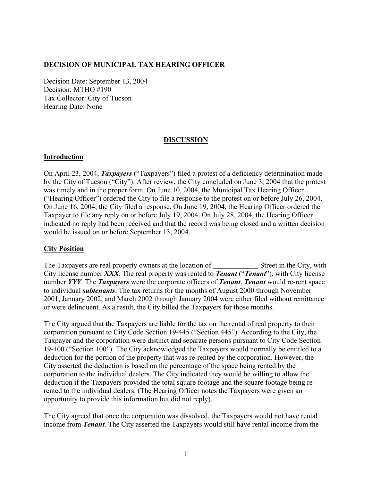## **DECISION OF MUNICIPAL TAX HEARING OFFICER**

Decision Date: September 13, 2004 Decision: MTHO #190 Tax Collector: City of Tucson Hearing Date: None

#### **DISCUSSION**

### **Introduction**

On April 23, 2004, *Taxpayers* ("Taxpayers") filed a protest of a deficiency determination made by the City of Tucson ("City"). After review, the City concluded on June 3, 2004 that the protest was timely and in the proper form. On June 10, 2004, the Municipal Tax Hearing Officer ("Hearing Officer") ordered the City to file a response to the protest on or before July 26, 2004. On June 16, 2004, the City filed a response. On June 19, 2004, the Hearing Officer ordered the Taxpayer to file any reply on or before July 19, 2004. On July 28, 2004, the Hearing Officer indicated no reply had been received and that the record was being closed and a written decision would be issued on or before September 13, 2004.

## **City Position**

The Taxpayers are real property owners at the location of \_\_\_\_\_\_\_\_\_\_\_\_\_\_\_\_Street in the City, with City license number *XXX*. The real property was rented to *Tenant* ("*Tenant*"), with City license number *YYY*. The *Taxpayers* were the corporate officers of *Tenant*. *Tenant* would re-rent space to individual *subtenants*. The tax returns for the months of August 2000 through November 2001, January 2002, and March 2002 through January 2004 were either filed without remittance or were delinquent. As a result, the City billed the Taxpayers for those months.

The City argued that the Taxpayers are liable for the tax on the rental of real property to their corporation pursuant to City Code Section 19-445 ("Section 445"). According to the City, the Taxpayer and the corporation were distinct and separate persons pursuant to City Code Section 19-100 ("Section 100"). The City acknowledged the Taxpayers would normally be entitled to a deduction for the portion of the property that was re-rented by the corporation. However, the City asserted the deduction is based on the percentage of the space being rented by the corporation to the individual dealers. The City indicated they would be willing to allow the deduction if the Taxpayers provided the total square footage and the square footage being rerented to the individual dealers. (The Hearing Officer notes the Taxpayers were given an opportunity to provide this information but did not reply).

The City agreed that once the corporation was dissolved, the Taxpayers would not have rental income from *Tenant*. The City asserted the Taxpayers would still have rental income from the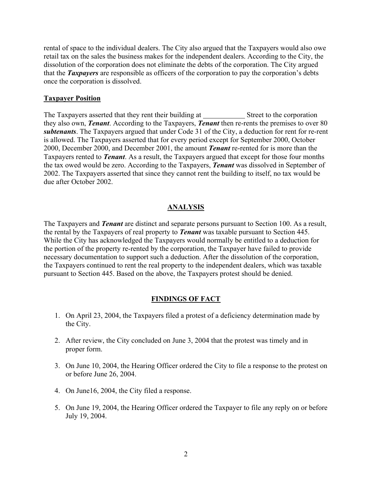rental of space to the individual dealers. The City also argued that the Taxpayers would also owe retail tax on the sales the business makes for the independent dealers. According to the City, the dissolution of the corporation does not eliminate the debts of the corporation. The City argued that the *Taxpayers* are responsible as officers of the corporation to pay the corporation's debts once the corporation is dissolved.

#### **Taxpayer Position**

The Taxpayers asserted that they rent their building at Street to the corporation they also own, *Tenant*. According to the Taxpayers, *Tenant* then re-rents the premises to over 80 *subtenants*. The Taxpayers argued that under Code 31 of the City, a deduction for rent for re-rent is allowed. The Taxpayers asserted that for every period except for September 2000, October 2000, December 2000, and December 2001, the amount *Tenant* re-rented for is more than the Taxpayers rented to *Tenant*. As a result, the Taxpayers argued that except for those four months the tax owed would be zero. According to the Taxpayers, *Tenant* was dissolved in September of 2002. The Taxpayers asserted that since they cannot rent the building to itself, no tax would be due after October 2002.

#### **ANALYSIS**

The Taxpayers and *Tenant* are distinct and separate persons pursuant to Section 100. As a result, the rental by the Taxpayers of real property to *Tenant* was taxable pursuant to Section 445. While the City has acknowledged the Taxpayers would normally be entitled to a deduction for the portion of the property re-rented by the corporation, the Taxpayer have failed to provide necessary documentation to support such a deduction. After the dissolution of the corporation, the Taxpayers continued to rent the real property to the independent dealers, which was taxable pursuant to Section 445. Based on the above, the Taxpayers protest should be denied.

#### **FINDINGS OF FACT**

- 1. On April 23, 2004, the Taxpayers filed a protest of a deficiency determination made by the City.
- 2. After review, the City concluded on June 3, 2004 that the protest was timely and in proper form.
- 3. On June 10, 2004, the Hearing Officer ordered the City to file a response to the protest on or before June 26, 2004.
- 4. On June16, 2004, the City filed a response.
- 5. On June 19, 2004, the Hearing Officer ordered the Taxpayer to file any reply on or before July 19, 2004.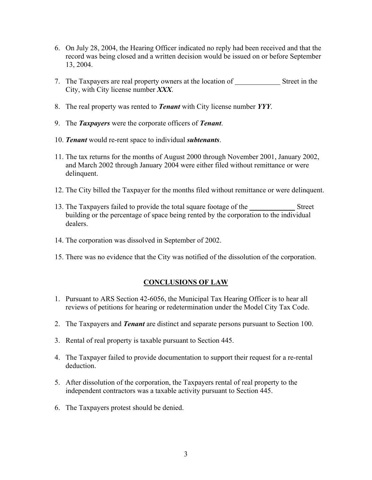- 6. On July 28, 2004, the Hearing Officer indicated no reply had been received and that the record was being closed and a written decision would be issued on or before September 13, 2004.
- 7. The Taxpayers are real property owners at the location of Street in the City, with City license number *XXX*.
- 8. The real property was rented to *Tenant* with City license number *YYY*.
- 9. The *Taxpayers* were the corporate officers of *Tenant*.
- 10. *Tenant* would re-rent space to individual *subtenants*.
- 11. The tax returns for the months of August 2000 through November 2001, January 2002, and March 2002 through January 2004 were either filed without remittance or were delinquent.
- 12. The City billed the Taxpayer for the months filed without remittance or were delinquent.
- 13. The Taxpayers failed to provide the total square footage of the Street building or the percentage of space being rented by the corporation to the individual dealers.
- 14. The corporation was dissolved in September of 2002.
- 15. There was no evidence that the City was notified of the dissolution of the corporation.

## **CONCLUSIONS OF LAW**

- 1. Pursuant to ARS Section 42-6056, the Municipal Tax Hearing Officer is to hear all reviews of petitions for hearing or redetermination under the Model City Tax Code.
- 2. The Taxpayers and *Tenant* are distinct and separate persons pursuant to Section 100.
- 3. Rental of real property is taxable pursuant to Section 445.
- 4. The Taxpayer failed to provide documentation to support their request for a re-rental deduction.
- 5. After dissolution of the corporation, the Taxpayers rental of real property to the independent contractors was a taxable activity pursuant to Section 445.
- 6. The Taxpayers protest should be denied.